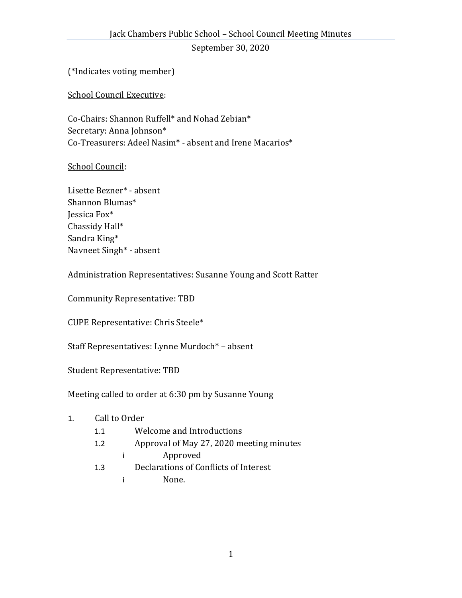September 30, 2020

(\*Indicates voting member)

School Council Executive:

Co-Chairs: Shannon Ruffell\* and Nohad Zebian\* Secretary: Anna Johnson\* Co-Treasurers: Adeel Nasim\* - absent and Irene Macarios\*

School Council:

Lisette Bezner\* - absent Shannon Blumas\* Jessica Fox\* Chassidy Hall\* Sandra King\* Navneet Singh\* - absent

Administration Representatives: Susanne Young and Scott Ratter

Community Representative: TBD

CUPE Representative: Chris Steele\*

Staff Representatives: Lynne Murdoch\* – absent

Student Representative: TBD

Meeting called to order at 6:30 pm by Susanne Young

## 1. Call to Order

- 1.1 Welcome and Introductions
- 1.2 Approval of May 27, 2020 meeting minutes
	- i Approved
- 1.3 Declarations of Conflicts of Interest
	- i None.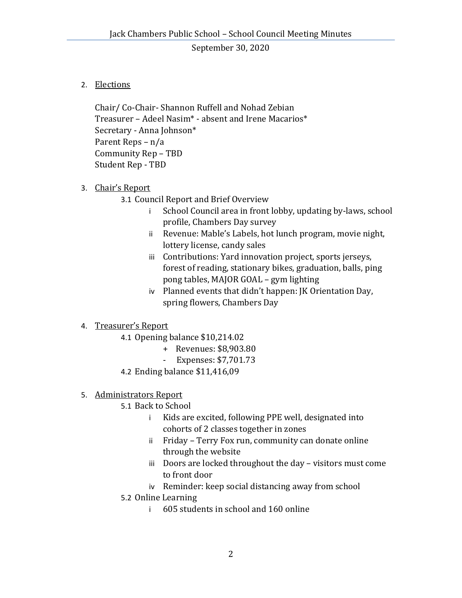September 30, 2020

## 2. Elections

Chair/ Co-Chair- Shannon Ruffell and Nohad Zebian Treasurer – Adeel Nasim\* - absent and Irene Macarios\* Secretary - Anna Johnson\* Parent Reps – n/a Community Rep – TBD Student Rep - TBD

- 3. Chair's Report
	- 3.1 Council Report and Brief Overview
		- i School Council area in front lobby, updating by-laws, school profile, Chambers Day survey
		- ii Revenue: Mable's Labels, hot lunch program, movie night, lottery license, candy sales
		- iii Contributions: Yard innovation project, sports jerseys, forest of reading, stationary bikes, graduation, balls, ping pong tables, MAJOR GOAL – gym lighting
		- iv Planned events that didn't happen: JK Orientation Day, spring flowers, Chambers Day

## 4. Treasurer's Report

- 4.1 Opening balance \$10,214.02
	- + Revenues: \$8,903.80
	- Expenses: \$7,701.73
- 4.2 Ending balance \$11,416,09
- 5. Administrators Report
	- 5.1 Back to School
		- i Kids are excited, following PPE well, designated into cohorts of 2 classes together in zones
		- ii Friday Terry Fox run, community can donate online through the website
		- iii Doors are locked throughout the day visitors must come to front door
		- iv Reminder: keep social distancing away from school
	- 5.2 Online Learning
		- i 605 students in school and 160 online